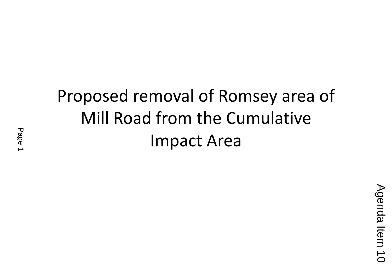## Proposed removal of Romsey area of Mill Road from the Cumulative Impact Area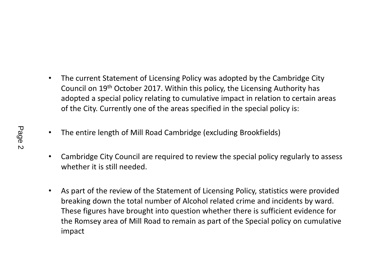- • The current Statement of Licensing Policy was adopted by the Cambridge City Council on 19<sup>th</sup> October 2017. Within this policy, the Licensing Authority has adopted a special policy relating to cumulative impact in relation to certain areas of the City. Currently one of the areas specified in the special policy is:
- $\bullet$ The entire length of Mill Road Cambridge (excluding Brookfields)
- • Cambridge City Council are required to review the special policy regularly to assess whether it is still needed.
- $\bullet$  As part of the review of the Statement of Licensing Policy, statistics were provided breaking down the total number of Alcohol related crime and incidents by ward. These figures have brought into question whether there is sufficient evidence for the Romsey area of Mill Road to remain as part of the Special policy on cumulative impact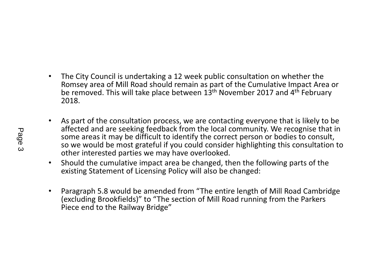- $\bullet$  The City Council is undertaking a 12 week public consultation on whether the Romsey area of Mill Road should remain as part of the Cumulative Impact Area or be removed. This will take place between 13<sup>th</sup> November 2017 and 4<sup>th</sup> February 2018.
- • As part of the consultation process, we are contacting everyone that is likely to be affected and are seeking feedback from the local community. We recognise that in some areas it may be difficult to identify the correct person or bodies to consult, so we would be most grateful if you could consider highlighting this consultation to other interested parties we may have overlooked.
- $\bullet$  Should the cumulative impact area be changed, then the following parts of the existing Statement of Licensing Policy will also be changed:
- • Paragraph 5.8 would be amended from "The entire length of Mill Road Cambridge (excluding Brookfields)" to "The section of Mill Road running from the Parkers Piece end to the Railway Bridge"